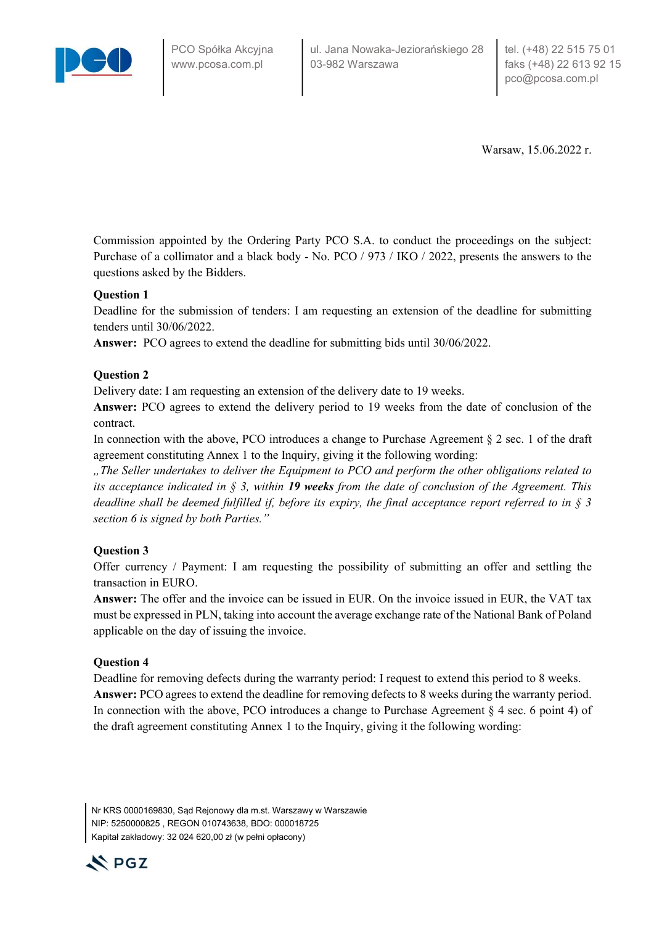

Warsaw, 15.06.2022 r.

Commission appointed by the Ordering Party PCO S.A. to conduct the proceedings on the subject: Purchase of a collimator and a black body - No. PCO / 973 / IKO / 2022, presents the answers to the questions asked by the Bidders.

## Question 1

Deadline for the submission of tenders: I am requesting an extension of the deadline for submitting tenders until 30/06/2022.

Answer: PCO agrees to extend the deadline for submitting bids until 30/06/2022.

## Question 2

Delivery date: I am requesting an extension of the delivery date to 19 weeks.

Answer: PCO agrees to extend the delivery period to 19 weeks from the date of conclusion of the contract.

In connection with the above, PCO introduces a change to Purchase Agreement  $\S 2$  sec. 1 of the draft agreement constituting Annex 1 to the Inquiry, giving it the following wording:

.., The Seller undertakes to deliver the Equipment to PCO and perform the other obligations related to its acceptance indicated in  $\S$  3, within 19 weeks from the date of conclusion of the Agreement. This deadline shall be deemed fulfilled if, before its expiry, the final acceptance report referred to in  $\S$  3 section 6 is signed by both Parties."

## Question 3

Offer currency / Payment: I am requesting the possibility of submitting an offer and settling the transaction in EURO.

Answer: The offer and the invoice can be issued in EUR. On the invoice issued in EUR, the VAT tax must be expressed in PLN, taking into account the average exchange rate of the National Bank of Poland applicable on the day of issuing the invoice.

## Question 4

Deadline for removing defects during the warranty period: I request to extend this period to 8 weeks. Answer: PCO agrees to extend the deadline for removing defects to 8 weeks during the warranty period. In connection with the above, PCO introduces a change to Purchase Agreement § 4 sec. 6 point 4) of the draft agreement constituting Annex 1 to the Inquiry, giving it the following wording:

Nr KRS 0000169830, Sąd Rejonowy dla m.st. Warszawy w Warszawie NIP: 5250000825 , REGON 010743638, BDO: 000018725 Kapitał zakładowy: 32 024 620,00 zł (w pełni opłacony)